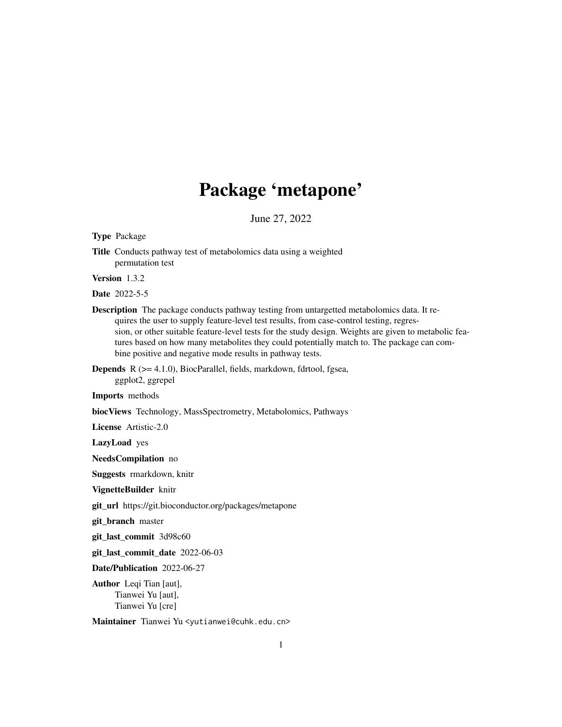## Package 'metapone'

June 27, 2022

Type Package

Title Conducts pathway test of metabolomics data using a weighted permutation test

Version 1.3.2

Date 2022-5-5

- Description The package conducts pathway testing from untargetted metabolomics data. It requires the user to supply feature-level test results, from case-control testing, regression, or other suitable feature-level tests for the study design. Weights are given to metabolic features based on how many metabolites they could potentially match to. The package can combine positive and negative mode results in pathway tests.
- Depends R (>= 4.1.0), BiocParallel, fields, markdown, fdrtool, fgsea, ggplot2, ggrepel

Imports methods

biocViews Technology, MassSpectrometry, Metabolomics, Pathways

License Artistic-2.0

LazyLoad yes

NeedsCompilation no

Suggests rmarkdown, knitr

VignetteBuilder knitr

git\_url https://git.bioconductor.org/packages/metapone

git\_branch master

git\_last\_commit 3d98c60

git last commit date 2022-06-03

Date/Publication 2022-06-27

Author Leqi Tian [aut], Tianwei Yu [aut], Tianwei Yu [cre]

Maintainer Tianwei Yu <yutianwei@cuhk.edu.cn>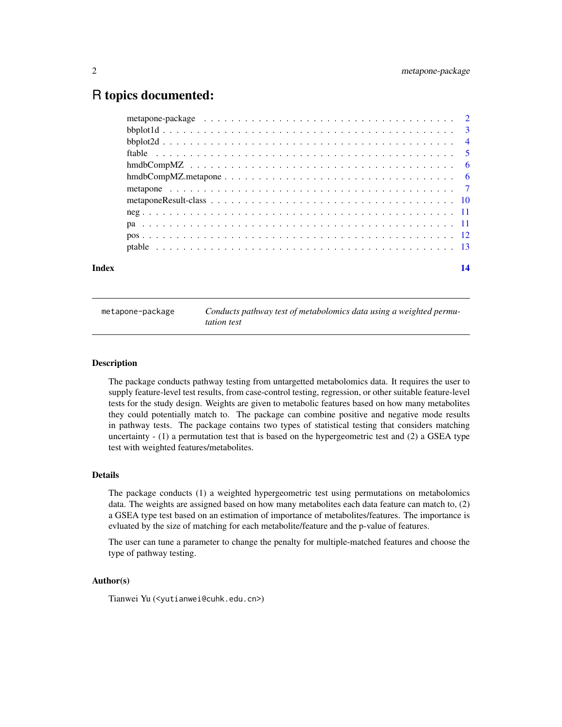## <span id="page-1-0"></span>R topics documented:

## **Index** 2008 **[14](#page-13-0)**

metapone-package *Conducts pathway test of metabolomics data using a weighted permutation test*

## Description

The package conducts pathway testing from untargetted metabolomics data. It requires the user to supply feature-level test results, from case-control testing, regression, or other suitable feature-level tests for the study design. Weights are given to metabolic features based on how many metabolites they could potentially match to. The package can combine positive and negative mode results in pathway tests. The package contains two types of statistical testing that considers matching uncertainty - (1) a permutation test that is based on the hypergeometric test and (2) a GSEA type test with weighted features/metabolites.

#### Details

The package conducts (1) a weighted hypergeometric test using permutations on metabolomics data. The weights are assigned based on how many metabolites each data feature can match to, (2) a GSEA type test based on an estimation of importance of metabolites/features. The importance is evluated by the size of matching for each metabolite/feature and the p-value of features.

The user can tune a parameter to change the penalty for multiple-matched features and choose the type of pathway testing.

## Author(s)

Tianwei Yu (<yutianwei@cuhk.edu.cn>)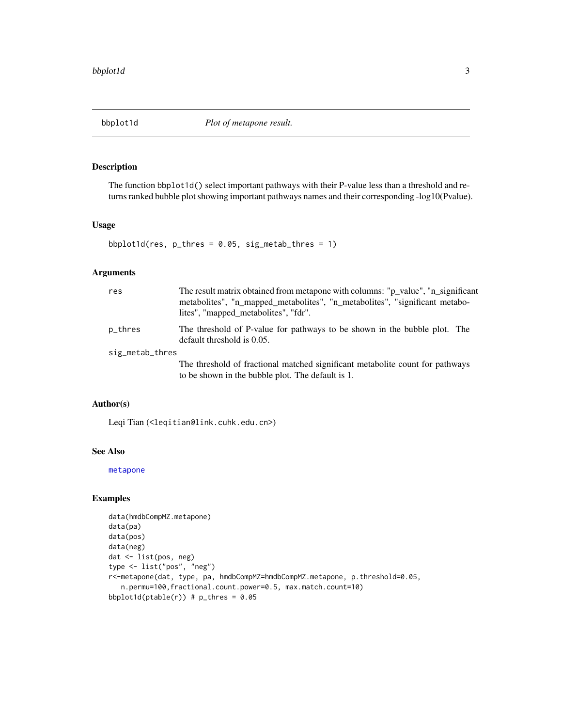<span id="page-2-0"></span>

The function bbplot1d() select important pathways with their P-value less than a threshold and returns ranked bubble plot showing important pathways names and their corresponding -log10(Pvalue).

#### Usage

```
bbplot1d(res, p_{th} thres = 0.05, sig_metab_thres = 1)
```
## Arguments

| res             | The result matrix obtained from metapone with columns: "p_value", "n_significant"<br>metabolites", "n_mapped_metabolites", "n_metabolites", "significant metabo-<br>lites", "mapped metabolites", "fdr". |
|-----------------|----------------------------------------------------------------------------------------------------------------------------------------------------------------------------------------------------------|
| p_thres         | The threshold of P-value for pathways to be shown in the bubble plot. The<br>default threshold is 0.05.                                                                                                  |
| sig_metab_thres |                                                                                                                                                                                                          |
|                 | The threshold of fractional matched significant metabolite count for pathways<br>to be shown in the bubble plot. The default is 1.                                                                       |

## Author(s)

Leqi Tian (<leqitian@link.cuhk.edu.cn>)

## See Also

[metapone](#page-6-1)

```
data(hmdbCompMZ.metapone)
data(pa)
data(pos)
data(neg)
dat <- list(pos, neg)
type <- list("pos", "neg")
r<-metapone(dat, type, pa, hmdbCompMZ=hmdbCompMZ.metapone, p.threshold=0.05,
   n.permu=100,fractional.count.power=0.5, max.match.count=10)
bbplot1d(ptable(r)) # p_{th} p thres = 0.05
```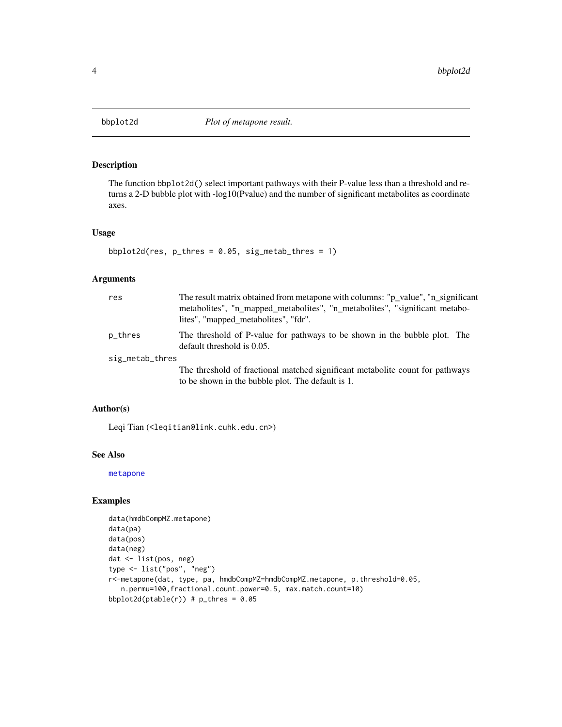<span id="page-3-0"></span>

The function bbplot2d() select important pathways with their P-value less than a threshold and returns a 2-D bubble plot with -log10(Pvalue) and the number of significant metabolites as coordinate axes.

## Usage

```
bbplot2d(res, p_{th} phres = 0.05, sig_metab_thres = 1)
```
## Arguments

| res             | The result matrix obtained from metapone with columns: "p_value", "n_significant"<br>metabolites", "n_mapped_metabolites", "n_metabolites", "significant metabo-<br>lites", "mapped_metabolites", "fdr". |  |
|-----------------|----------------------------------------------------------------------------------------------------------------------------------------------------------------------------------------------------------|--|
| p_thres         | The threshold of P-value for pathways to be shown in the bubble plot. The<br>default threshold is 0.05.                                                                                                  |  |
| sig_metab_thres |                                                                                                                                                                                                          |  |
|                 | The threshold of fractional matched significant metabolite count for pathways<br>to be shown in the bubble plot. The default is 1.                                                                       |  |

## Author(s)

Leqi Tian (<leqitian@link.cuhk.edu.cn>)

## See Also

[metapone](#page-6-1)

```
data(hmdbCompMZ.metapone)
data(pa)
data(pos)
data(neg)
dat <- list(pos, neg)
type <- list("pos", "neg")
r<-metapone(dat, type, pa, hmdbCompMZ=hmdbCompMZ.metapone, p.threshold=0.05,
  n.permu=100,fractional.count.power=0.5, max.match.count=10)
bbplot2d(ptable(r)) # p_{th} p_thres = 0.05
```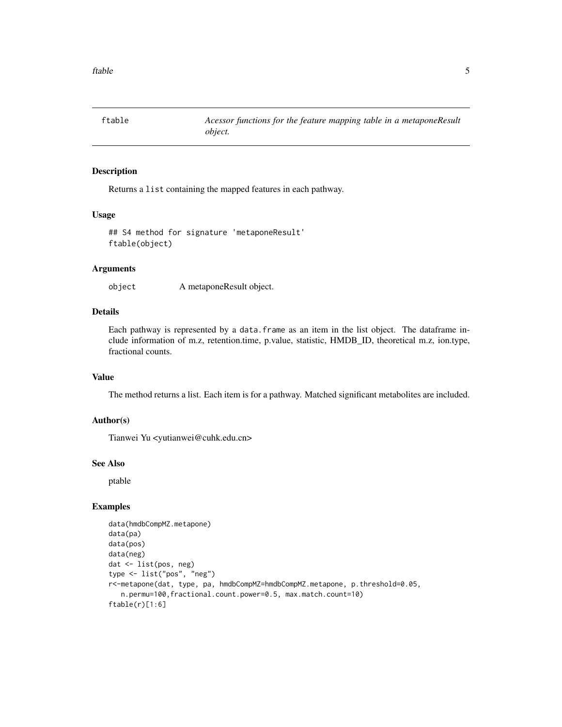<span id="page-4-0"></span>

Returns a list containing the mapped features in each pathway.

## Usage

```
## S4 method for signature 'metaponeResult'
ftable(object)
```
## Arguments

object A metaponeResult object.

## Details

Each pathway is represented by a data.frame as an item in the list object. The dataframe include information of m.z, retention.time, p.value, statistic, HMDB\_ID, theoretical m.z, ion.type, fractional counts.

## Value

The method returns a list. Each item is for a pathway. Matched significant metabolites are included.

#### Author(s)

Tianwei Yu <yutianwei@cuhk.edu.cn>

## See Also

ptable

```
data(hmdbCompMZ.metapone)
data(pa)
data(pos)
data(neg)
dat <- list(pos, neg)
type <- list("pos", "neg")
r<-metapone(dat, type, pa, hmdbCompMZ=hmdbCompMZ.metapone, p.threshold=0.05,
  n.permu=100,fractional.count.power=0.5, max.match.count=10)
ftable(r)[1:6]
```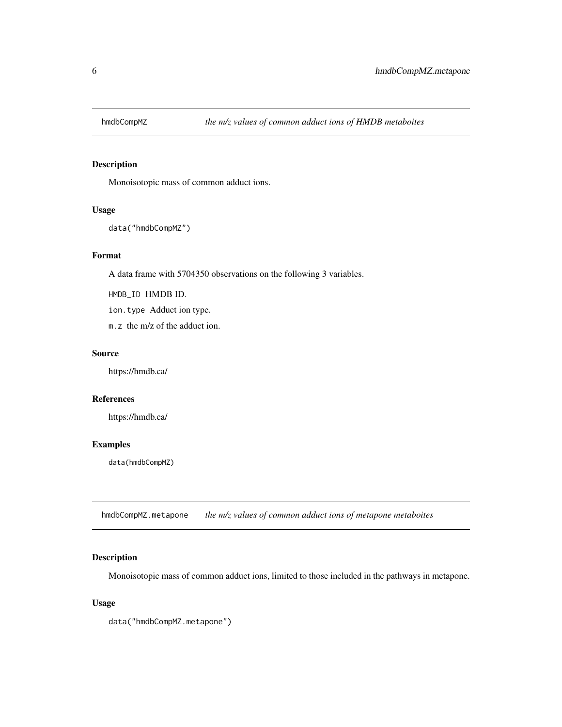<span id="page-5-1"></span><span id="page-5-0"></span>

Monoisotopic mass of common adduct ions.

## Usage

data("hmdbCompMZ")

## Format

A data frame with 5704350 observations on the following 3 variables.

HMDB\_ID HMDB ID.

ion.type Adduct ion type.

m.z the m/z of the adduct ion.

## Source

https://hmdb.ca/

## References

https://hmdb.ca/

## Examples

data(hmdbCompMZ)

hmdbCompMZ.metapone *the m/z values of common adduct ions of metapone metaboites*

## Description

Monoisotopic mass of common adduct ions, limited to those included in the pathways in metapone.

## Usage

data("hmdbCompMZ.metapone")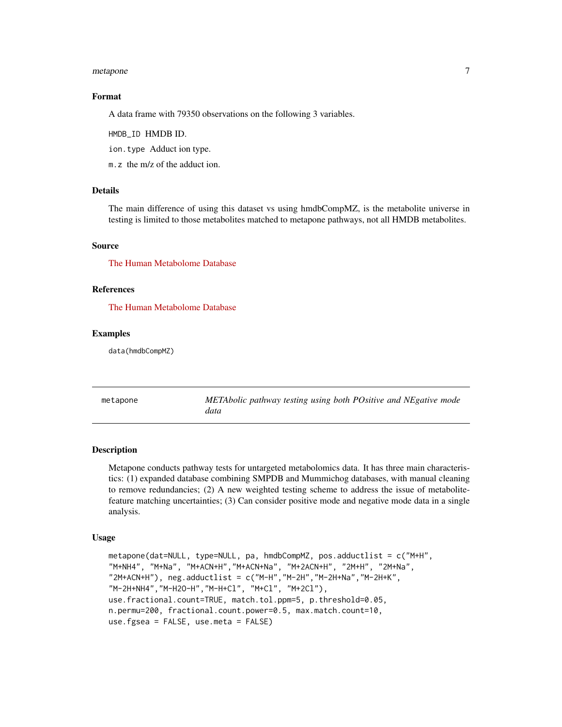#### <span id="page-6-0"></span>metapone 7

## Format

A data frame with 79350 observations on the following 3 variables.

HMDB\_ID HMDB ID.

ion.type Adduct ion type.

m.z the m/z of the adduct ion.

## Details

The main difference of using this dataset vs using hmdbCompMZ, is the metabolite universe in testing is limited to those metabolites matched to metapone pathways, not all HMDB metabolites.

#### Source

[The Human Metabolome Database](https://hmdb.ca/)

## References

[The Human Metabolome Database](https://hmdb.ca/)

#### Examples

data(hmdbCompMZ)

<span id="page-6-1"></span>metapone *METAbolic pathway testing using both POsitive and NEgative mode data*

#### **Description**

Metapone conducts pathway tests for untargeted metabolomics data. It has three main characteristics: (1) expanded database combining SMPDB and Mummichog databases, with manual cleaning to remove redundancies; (2) A new weighted testing scheme to address the issue of metabolitefeature matching uncertainties; (3) Can consider positive mode and negative mode data in a single analysis.

#### Usage

```
metapone(dat=NULL, type=NULL, pa, hmdbCompMZ, pos.adductlist = c("M+H",
"M+NH4", "M+Na", "M+ACN+H","M+ACN+Na", "M+2ACN+H", "2M+H", "2M+Na",
"2M+ACN+H"), neg.adductlist = c("M-H", "M-2H", "M-2H+Na", "M-2H+K","M-2H+NH4","M-H2O-H","M-H+Cl", "M+Cl", "M+2Cl"),
use.fractional.count=TRUE, match.tol.ppm=5, p.threshold=0.05,
n.permu=200, fractional.count.power=0.5, max.match.count=10,
use.fgsea = FALSE, use.meta = FALSE)
```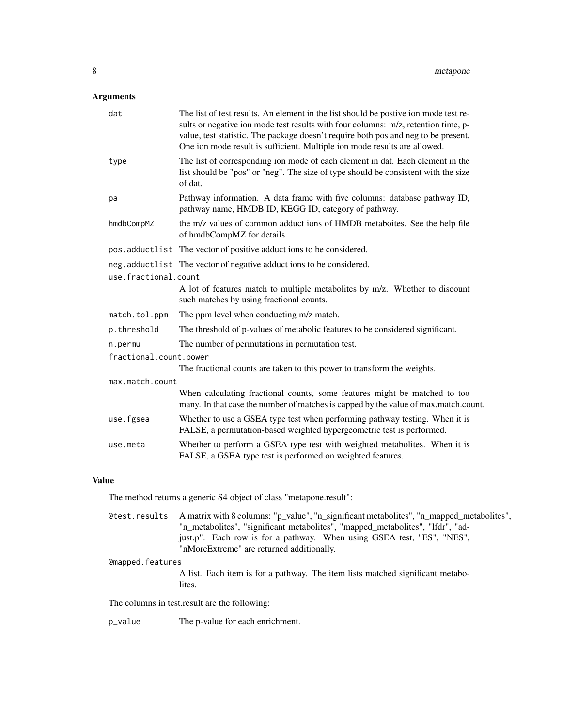## Arguments

| dat                    | The list of test results. An element in the list should be postive ion mode test re-<br>sults or negative ion mode test results with four columns: m/z, retention time, p-<br>value, test statistic. The package doesn't require both pos and neg to be present.<br>One ion mode result is sufficient. Multiple ion mode results are allowed. |  |
|------------------------|-----------------------------------------------------------------------------------------------------------------------------------------------------------------------------------------------------------------------------------------------------------------------------------------------------------------------------------------------|--|
| type                   | The list of corresponding ion mode of each element in dat. Each element in the<br>list should be "pos" or "neg". The size of type should be consistent with the size<br>of dat.                                                                                                                                                               |  |
| pa                     | Pathway information. A data frame with five columns: database pathway ID,<br>pathway name, HMDB ID, KEGG ID, category of pathway.                                                                                                                                                                                                             |  |
| hmdbCompMZ             | the m/z values of common adduct ions of HMDB metaboites. See the help file<br>of hmdbCompMZ for details.                                                                                                                                                                                                                                      |  |
|                        | pos.adductlist The vector of positive adductions to be considered.                                                                                                                                                                                                                                                                            |  |
| use.fractional.count   | neg.adductlist The vector of negative adductions to be considered.                                                                                                                                                                                                                                                                            |  |
|                        | A lot of features match to multiple metabolites by m/z. Whether to discount<br>such matches by using fractional counts.                                                                                                                                                                                                                       |  |
| match.tol.ppm          | The ppm level when conducting m/z match.                                                                                                                                                                                                                                                                                                      |  |
| p.threshold            | The threshold of p-values of metabolic features to be considered significant.                                                                                                                                                                                                                                                                 |  |
| n.permu                | The number of permutations in permutation test.                                                                                                                                                                                                                                                                                               |  |
| fractional.count.power |                                                                                                                                                                                                                                                                                                                                               |  |
|                        | The fractional counts are taken to this power to transform the weights.                                                                                                                                                                                                                                                                       |  |
| max.match.count        |                                                                                                                                                                                                                                                                                                                                               |  |
|                        | When calculating fractional counts, some features might be matched to too<br>many. In that case the number of matches is capped by the value of max.match.count.                                                                                                                                                                              |  |
| use.fgsea              | Whether to use a GSEA type test when performing pathway testing. When it is<br>FALSE, a permutation-based weighted hypergeometric test is performed.                                                                                                                                                                                          |  |
| use.meta               | Whether to perform a GSEA type test with weighted metabolites. When it is<br>FALSE, a GSEA type test is performed on weighted features.                                                                                                                                                                                                       |  |

## Value

The method returns a generic S4 object of class "metapone.result":

| @test.results A matrix with 8 columns: "p_value", "n_significant metabolites", "n_mapped_metabolites", |
|--------------------------------------------------------------------------------------------------------|
| "n metabolites", "significant metabolites", "mapped metabolites", "lfdr", "ad-                         |
| just.p". Each row is for a pathway. When using GSEA test, "ES", "NES",                                 |
| "nMoreExtreme" are returned additionally.                                                              |
|                                                                                                        |

## @mapped.features

A list. Each item is for a pathway. The item lists matched significant metabolites.

The columns in test.result are the following:

p\_value The p-value for each enrichment.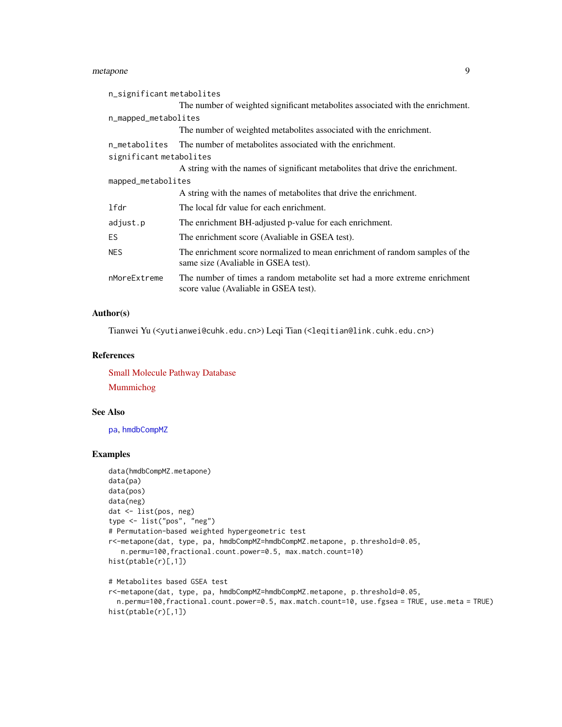#### <span id="page-8-0"></span>metapone 99

| n_significant metabolites |                                                                                                                    |
|---------------------------|--------------------------------------------------------------------------------------------------------------------|
|                           | The number of weighted significant metabolites associated with the enrichment.                                     |
| n_mapped_metabolites      |                                                                                                                    |
|                           | The number of weighted metabolites associated with the enrichment.                                                 |
| n metabolites             | The number of metabolities associated with the enrichment.                                                         |
| significant metabolites   |                                                                                                                    |
|                           | A string with the names of significant metabolites that drive the enrichment.                                      |
| mapped_metabolites        |                                                                                                                    |
|                           | A string with the names of metabolities that drive the enrichment.                                                 |
| lfdr                      | The local fdr value for each enrichment.                                                                           |
| adjust.p                  | The enrichment BH-adjusted p-value for each enrichment.                                                            |
| ES.                       | The enrichment score (Avaliable in GSEA test).                                                                     |
| <b>NES</b>                | The enrichment score normalized to mean enrichment of random samples of the<br>same size (Avaliable in GSEA test). |
| nMoreExtreme              | The number of times a random metabolite set had a more extreme enrichment<br>score value (Avaliable in GSEA test). |

## Author(s)

Tianwei Yu (<yutianwei@cuhk.edu.cn>) Leqi Tian (<leqitian@link.cuhk.edu.cn>)

## References

[Small Molecule Pathway Database](https://smpdb.ca/) [Mummichog](https://shuzhao-li.github.io/mummichog.org/software.html)

## See Also

[pa](#page-10-1), [hmdbCompMZ](#page-5-1)

```
data(hmdbCompMZ.metapone)
data(pa)
data(pos)
data(neg)
dat <- list(pos, neg)
type <- list("pos", "neg")
# Permutation-based weighted hypergeometric test
r<-metapone(dat, type, pa, hmdbCompMZ=hmdbCompMZ.metapone, p.threshold=0.05,
   n.permu=100,fractional.count.power=0.5, max.match.count=10)
hist(ptable(r)[,1])
# Metabolites based GSEA test
r<-metapone(dat, type, pa, hmdbCompMZ=hmdbCompMZ.metapone, p.threshold=0.05,
```

```
n.permu=100,fractional.count.power=0.5, max.match.count=10, use.fgsea = TRUE, use.meta = TRUE)
hist(ptable(r)[,1])
```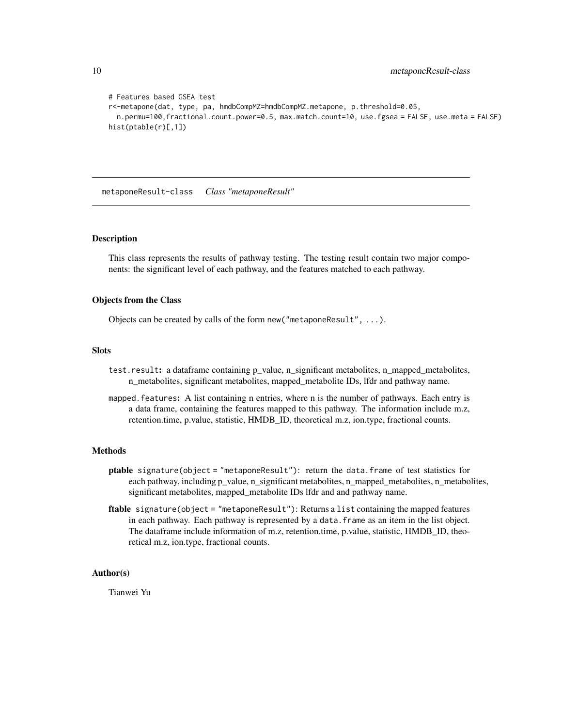```
# Features based GSEA test
r<-metapone(dat, type, pa, hmdbCompMZ=hmdbCompMZ.metapone, p.threshold=0.05,
 n.permu=100,fractional.count.power=0.5, max.match.count=10, use.fgsea = FALSE, use.meta = FALSE)
hist(ptable(r)[,1])
```
metaponeResult-class *Class "metaponeResult"*

## Description

This class represents the results of pathway testing. The testing result contain two major components: the significant level of each pathway, and the features matched to each pathway.

## Objects from the Class

Objects can be created by calls of the form new("metaponeResult", ...).

## **Slots**

- test.result: a dataframe containing p\_value, n\_significant metabolites, n\_mapped\_metabolites, n\_metabolites, significant metabolites, mapped\_metabolite IDs, lfdr and pathway name.
- mapped.features: A list containing n entries, where n is the number of pathways. Each entry is a data frame, containing the features mapped to this pathway. The information include m.z, retention.time, p.value, statistic, HMDB\_ID, theoretical m.z, ion.type, fractional counts.

#### Methods

- ptable signature(object = "metaponeResult"): return the data.frame of test statistics for each pathway, including p\_value, n\_significant metabolites, n\_mapped\_metabolites, n\_metabolites, significant metabolites, mapped\_metabolite IDs lfdr and and pathway name.
- ftable signature(object = "metaponeResult"): Returns a list containing the mapped features in each pathway. Each pathway is represented by a data. frame as an item in the list object. The dataframe include information of m.z, retention.time, p.value, statistic, HMDB\_ID, theoretical m.z, ion.type, fractional counts.

## Author(s)

Tianwei Yu

<span id="page-9-0"></span>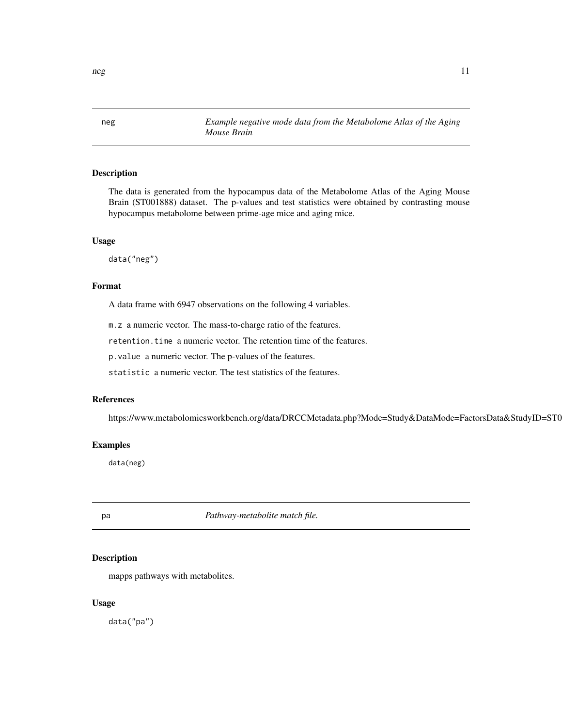<span id="page-10-0"></span>neg *Example negative mode data from the Metabolome Atlas of the Aging Mouse Brain*

## Description

The data is generated from the hypocampus data of the Metabolome Atlas of the Aging Mouse Brain (ST001888) dataset. The p-values and test statistics were obtained by contrasting mouse hypocampus metabolome between prime-age mice and aging mice.

#### Usage

data("neg")

## Format

A data frame with 6947 observations on the following 4 variables.

m.z a numeric vector. The mass-to-charge ratio of the features.

retention.time a numeric vector. The retention time of the features.

p.value a numeric vector. The p-values of the features.

statistic a numeric vector. The test statistics of the features.

#### References

https://www.metabolomicsworkbench.org/data/DRCCMetadata.php?Mode=Study&DataMode=FactorsData&StudyID=ST0

#### Examples

data(neg)

<span id="page-10-1"></span>pa *Pathway-metabolite match file.*

## Description

mapps pathways with metabolites.

#### Usage

data("pa")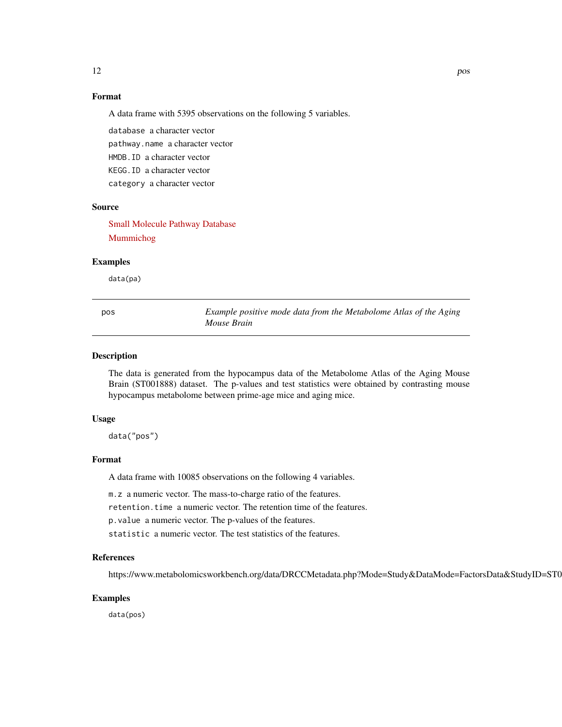<span id="page-11-0"></span>

## Format

A data frame with 5395 observations on the following 5 variables.

database a character vector pathway.name a character vector HMDB.ID a character vector KEGG.ID a character vector category a character vector

#### Source

[Small Molecule Pathway Database](https://smpdb.ca/) [Mummichog](https://shuzhao-li.github.io/mummichog.org/software.html)

## Examples

data(pa)

pos *Example positive mode data from the Metabolome Atlas of the Aging Mouse Brain*

## Description

The data is generated from the hypocampus data of the Metabolome Atlas of the Aging Mouse Brain (ST001888) dataset. The p-values and test statistics were obtained by contrasting mouse hypocampus metabolome between prime-age mice and aging mice.

#### Usage

data("pos")

## Format

A data frame with 10085 observations on the following 4 variables.

m.z a numeric vector. The mass-to-charge ratio of the features.

retention.time a numeric vector. The retention time of the features.

p.value a numeric vector. The p-values of the features.

statistic a numeric vector. The test statistics of the features.

#### References

https://www.metabolomicsworkbench.org/data/DRCCMetadata.php?Mode=Study&DataMode=FactorsData&StudyID=ST0

## Examples

data(pos)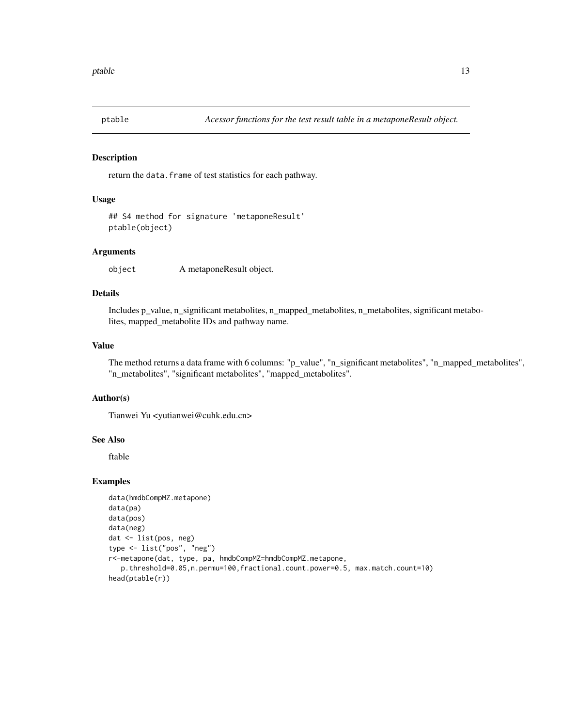<span id="page-12-0"></span>

return the data.frame of test statistics for each pathway.

## Usage

```
## S4 method for signature 'metaponeResult'
ptable(object)
```
## Arguments

object A metaponeResult object.

## Details

Includes p\_value, n\_significant metabolites, n\_mapped\_metabolites, n\_metabolites, significant metabolites, mapped\_metabolite IDs and pathway name.

#### Value

The method returns a data frame with 6 columns: "p\_value", "n\_significant metabolites", "n\_mapped\_metabolites", "n\_metabolites", "significant metabolites", "mapped\_metabolites".

## Author(s)

Tianwei Yu <yutianwei@cuhk.edu.cn>

## See Also

ftable

```
data(hmdbCompMZ.metapone)
data(pa)
data(pos)
data(neg)
dat <- list(pos, neg)
type <- list("pos", "neg")
r<-metapone(dat, type, pa, hmdbCompMZ=hmdbCompMZ.metapone,
  p.threshold=0.05,n.permu=100,fractional.count.power=0.5, max.match.count=10)
head(ptable(r))
```